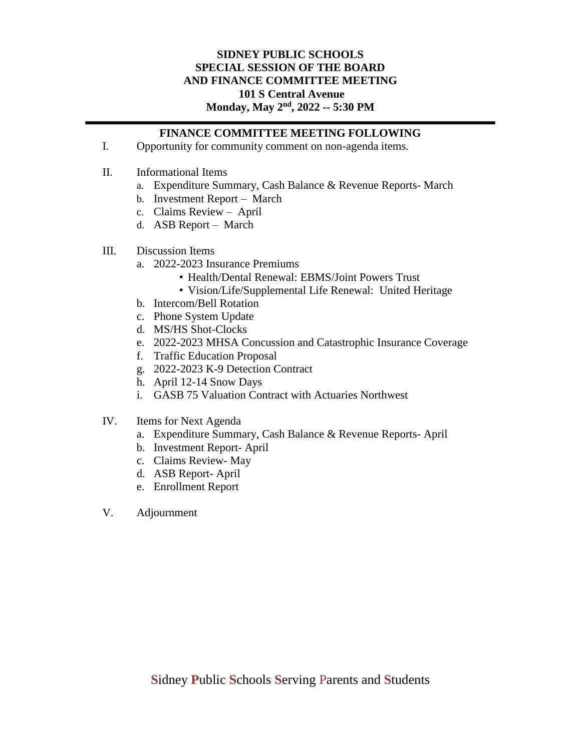## **SIDNEY PUBLIC SCHOOLS SPECIAL SESSION OF THE BOARD AND FINANCE COMMITTEE MEETING 101 S Central Avenue** Monday, May  $2^{nd}$ , 2022 -- 5:30 PM

## **FINANCE COMMITTEE MEETING FOLLOWING**

- I. Opportunity for community comment on non-agenda items.
- II. Informational Items
	- a. Expenditure Summary, Cash Balance & Revenue Reports- March
	- b. Investment Report March
	- c. Claims Review April
	- d. ASB Report March
- III. Discussion Items
	- a. 2022-2023 Insurance Premiums
		- Health/Dental Renewal: EBMS/Joint Powers Trust
		- Vision/Life/Supplemental Life Renewal: United Heritage
	- b. Intercom/Bell Rotation
	- c. Phone System Update
	- d. MS/HS Shot-Clocks
	- e. 2022-2023 MHSA Concussion and Catastrophic Insurance Coverage
	- f. Traffic Education Proposal
	- g. 2022-2023 K-9 Detection Contract
	- h. April 12-14 Snow Days
	- i. GASB 75 Valuation Contract with Actuaries Northwest
- IV. Items for Next Agenda
	- a. Expenditure Summary, Cash Balance & Revenue Reports- April
	- b. Investment Report- April
	- c. Claims Review- May
	- d. ASB Report- April
	- e. Enrollment Report
- V. Adjournment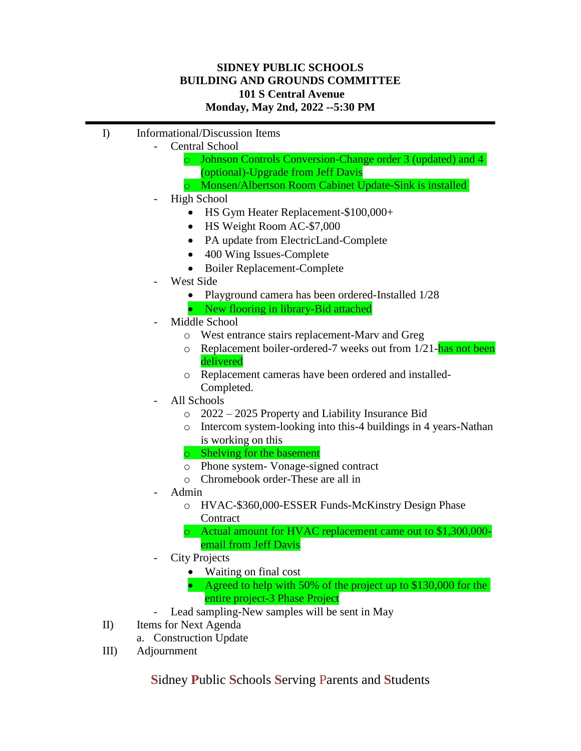# **SIDNEY PUBLIC SCHOOLS BUILDING AND GROUNDS COMMITTEE 101 S Central Avenue Monday, May 2nd, 2022 --5:30 PM**

- I) Informational/Discussion Items
	- Central School
		- o Johnson Controls Conversion-Change order 3 (updated) and 4 (optional)-Upgrade from Jeff Davis
		- o Monsen/Albertson Room Cabinet Update-Sink is installed
	- High School
		- HS Gym Heater Replacement-\$100,000+
		- HS Weight Room AC-\$7,000
		- PA update from ElectricLand-Complete
		- 400 Wing Issues-Complete
		- Boiler Replacement-Complete
	- West Side
		- Playground camera has been ordered-Installed 1/28
		- New flooring in library-Bid attached
	- Middle School
		- o West entrance stairs replacement-Marv and Greg
		- $\circ$  Replacement boiler-ordered-7 weeks out from 1/21-has not been delivered
		- o Replacement cameras have been ordered and installed-Completed.
	- All Schools
		- o 2022 2025 Property and Liability Insurance Bid
		- o Intercom system-looking into this-4 buildings in 4 years-Nathan is working on this
		- o Shelving for the basement
		- o Phone system- Vonage-signed contract
		- o Chromebook order-These are all in
	- Admin
		- o HVAC-\$360,000-ESSER Funds-McKinstry Design Phase **Contract**
		- o Actual amount for HVAC replacement came out to \$1,300,000 email from Jeff Davis
	- City Projects
		- Waiting on final cost
		- Agreed to help with 50% of the project up to \$130,000 for the entire project-3 Phase Project
		- Lead sampling-New samples will be sent in May
- II) Items for Next Agenda
	- a. Construction Update
- III) Adjournment

**S**idney **P**ublic **S**chools **S**erving Parents and **S**tudents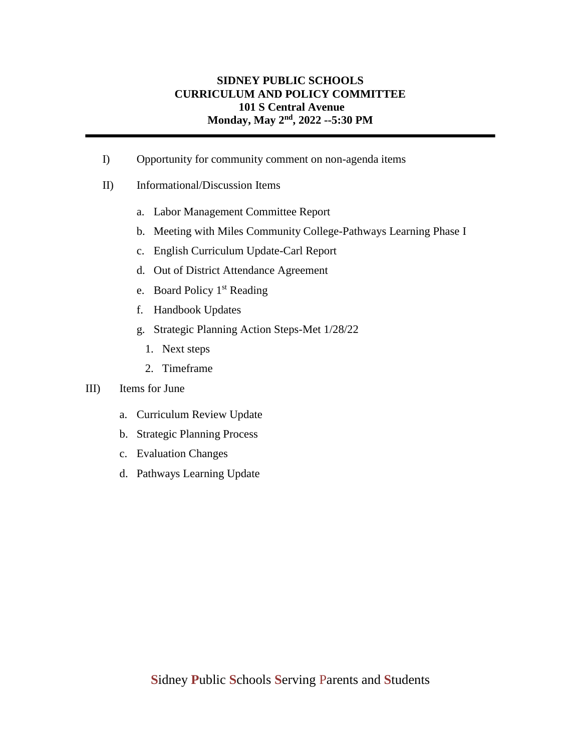# **SIDNEY PUBLIC SCHOOLS CURRICULUM AND POLICY COMMITTEE 101 S Central Avenue Monday, May 2nd, 2022 --5:30 PM**

- I) Opportunity for community comment on non-agenda items
- II) Informational/Discussion Items
	- a. Labor Management Committee Report
	- b. Meeting with Miles Community College-Pathways Learning Phase I
	- c. English Curriculum Update-Carl Report
	- d. Out of District Attendance Agreement
	- e. Board Policy 1<sup>st</sup> Reading
	- f. Handbook Updates
	- g. Strategic Planning Action Steps-Met 1/28/22
		- 1. Next steps
		- 2. Timeframe

### III) Items for June

- a. Curriculum Review Update
- b. Strategic Planning Process
- c. Evaluation Changes
- d. Pathways Learning Update